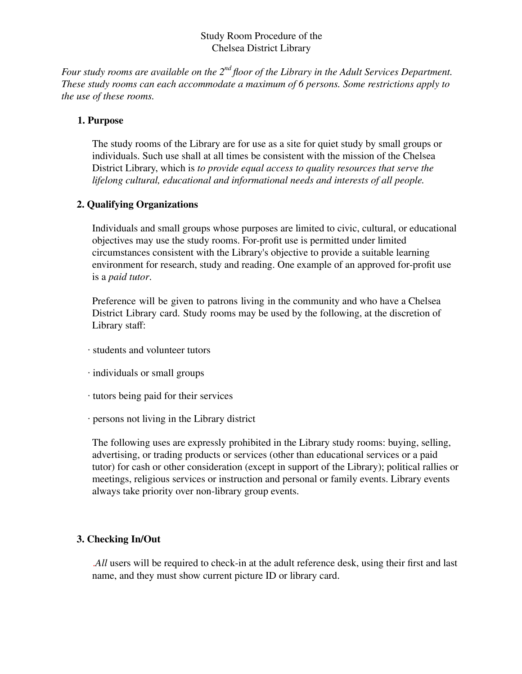# Study Room Procedure of the Chelsea District Library

*Four study rooms are available on the 2nd floor of the Library in the Adult Services Department. These study rooms can each accommodate a maximum of 6 persons. Some restrictions apply to the use of these rooms.*

### **1. Purpose**

The study rooms of the Library are for use as a site for quiet study by small groups or individuals. Such use shall at all times be consistent with the mission of the Chelsea District Library, which is *to provide equal access to quality resources that serve the lifelong cultural, educational and informational needs and interests of all people.*

# **2. Qualifying Organizations**

Individuals and small groups whose purposes are limited to civic, cultural, or educational objectives may use the study rooms. For-profit use is permitted under limited circumstances consistent with the Library's objective to provide a suitable learning environment for research, study and reading. One example of an approved for-profit use is a *paid tutor*.

Preference will be given to patrons living in the community and who have a Chelsea District Library card. Study rooms may be used by the following, at the discretion of Library staff:

- ∙ students and volunteer tutors
- ∙ individuals or small groups
- ∙ tutors being paid for their services
- ∙ persons not living in the Library district

The following uses are expressly prohibited in the Library study rooms: buying, selling, advertising, or trading products or services (other than educational services or a paid tutor) for cash or other consideration (except in support of the Library); political rallies or meetings, religious services or instruction and personal or family events. Library events always take priority over non-library group events.

# **3. Checking In/Out**

.*All* users will be required to check-in at the adult reference desk, using their first and last name, and they must show current picture ID or library card.